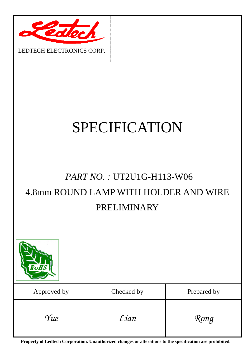

# SPECIFICATION

## *PART NO. :* UT2U1G-H113-W06 4.8mm ROUND LAMP WITH HOLDER AND WIRE PRELIMINARY



**Property of Ledtech Corporation. Unauthorized changes or alterations to the specification are prohibited***.*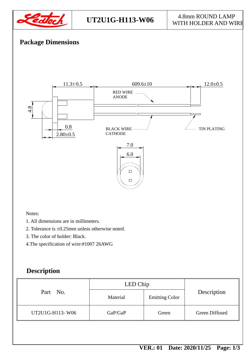

#### U**T2U1G-H113-W06** 4.8mm ROUND LAMP WITH HOLDER AND WIRE

#### **Package Dimensions**



Notes:

- 1. All dimensions are in millimeters.
- 2. Tolerance is ±0.25mm unless otherwise noted.
- 3. The color of holder: Black.
- 4.The specification of wire:#1007 26AWG

#### **Description**

| Part No.        | LED Chip |                       |                |
|-----------------|----------|-----------------------|----------------|
|                 | Material | <b>Emitting Color</b> | Description    |
| UT2U1G-H113-W06 | GaP/GaP  | Green                 | Green Diffused |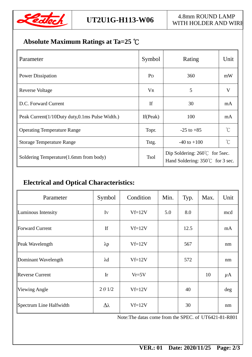

### **Absolute Maximum Ratings at Ta=25** ℃

| Parameter                                      | Symbol         | Rating                                                                             | Unit                |  |
|------------------------------------------------|----------------|------------------------------------------------------------------------------------|---------------------|--|
| <b>Power Dissipation</b>                       | P <sub>D</sub> | 360                                                                                | mW                  |  |
| Reverse Voltage                                | V <sub>R</sub> | 5                                                                                  | V                   |  |
| D.C. Forward Current                           | If             | 30                                                                                 | mA                  |  |
| Peak Current(1/10Duty duty,0.1ms Pulse Width.) | If $(Peak)$    | 100                                                                                | mA                  |  |
| <b>Operating Temperature Range</b>             | Topr.          | $-25$ to $+85$                                                                     | $\int_{0}^{\infty}$ |  |
| <b>Storage Temperature Range</b>               | Tstg.          | $-40$ to $+100$                                                                    | $\int_{0}^{\infty}$ |  |
| Soldering Temperature (1.6mm from body)        | <b>Tsol</b>    | Dip Soldering: $260^{\circ}$ for 5sec.<br>Hand Soldering: $350^{\circ}$ for 3 sec. |                     |  |

#### **Electrical and Optical Characteristics:**

| Parameter               | Symbol         | Condition | Min. | Typ. | Max. | Unit    |
|-------------------------|----------------|-----------|------|------|------|---------|
| Luminous Intensity      | Iv             | $Vf=12V$  | 5.0  | 8.0  |      | mcd     |
| Forward Current         | If             | $Vf=12V$  |      | 12.5 |      | mA      |
| Peak Wavelength         | $\lambda p$    | $Vf=12V$  |      | 567  |      | nm      |
| Dominant Wavelength     | $\lambda$ d    | $Vf=12V$  |      | 572  |      | nm      |
| <b>Reverse Current</b>  | Ir             | $Vr=5V$   |      |      | 10   | $\mu$ A |
| <b>Viewing Angle</b>    | $2 \theta$ 1/2 | $Vf=12V$  |      | 40   |      | deg     |
| Spectrum Line Halfwidth | Δλ             | $Vf=12V$  |      | 30   |      | nm      |

Note:The datas come from the SPEC. of UT6421-81-R801